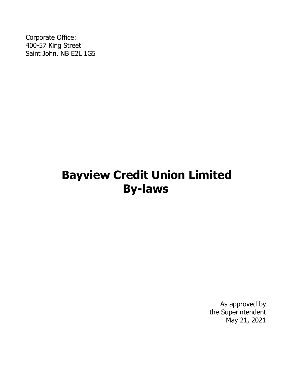Corporate Office: 400-57 King Street Saint John, NB E2L 1G5

# **Bayview Credit Union Limited By-laws**

As approved by the Superintendent May 21, 2021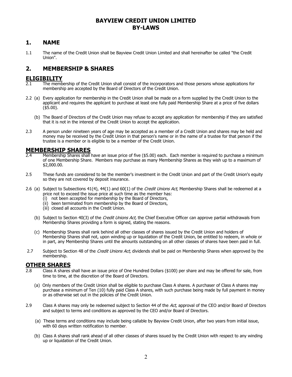#### **BAYVIEW CREDIT UNION LIMITED BY-LAWS**

#### **1. NAME**

1.1 The name of the Credit Union shall be Bayview Credit Union Limited and shall hereinafter be called "the Credit Union".

### **2. MEMBERSHIP & SHARES**

### **ELIGIBILITY**<br>2.1 The memb

- The membership of the Credit Union shall consist of the incorporators and those persons whose applications for membership are accepted by the Board of Directors of the Credit Union.
- 2.2 (a) Every application for membership in the Credit Union shall be made on a form supplied by the Credit Union to the applicant and requires the applicant to purchase at least one fully paid Membership Share at a price of five dollars  $($ \$5.00).
	- (b) The Board of Directors of the Credit Union may refuse to accept any application for membership if they are satisfied that it is not in the interest of the Credit Union to accept the application.
- 2.3 A person under nineteen years of age may be accepted as a member of a Credit Union and shares may be held and money may be received by the Credit Union in that person's name or in the name of a trustee for that person if the trustee is a member or is eligible to be a member of the Credit Union.

## **MEMBERSHIP SHARES**<br>2.4 Membership Shares shall

- Membership Shares shall have an issue price of five (\$5.00) each. Each member is required to purchase a minimum of one Membership Share. Members may purchase as many Membership Shares as they wish up to a maximum of \$2,000.00.
- 2.5 These funds are considered to be the member's investment in the Credit Union and part of the Credit Union's equity so they are not covered by deposit insurance.
- 2.6 (a) Subject to Subsections  $41(4)$ ,  $44(1)$  and  $60(1)$  of the *Credit Unions Act*, Membership Shares shall be redeemed at a price not to exceed the issue price at such time as the member has:
	- (i) not been accepted for membership by the Board of Directors,
	- (ii) been terminated from membership by the Board of Directors,
	- (iii) closed all accounts in the Credit Union.
	- (b) Subject to Section 40(3) of the Credit Unions Act, the Chief Executive Officer can approve partial withdrawals from Membership Shares providing a form is signed, stating the reasons.
	- (c) Membership Shares shall rank behind all other classes of shares issued by the Credit Union and holders of Membership Shares shall not, upon winding up or liquidation of the Credit Union, be entitled to redeem, in whole or in part, any Membership Shares until the amounts outstanding on all other classes of shares have been paid in full.
- 2.7 Subject to Section 48 of the Credit Unions Act, dividends shall be paid on Membership Shares when approved by the membership.

# **OTHER SHARES**<br>2.8 Class A shares

- Class A shares shall have an issue price of One Hundred Dollars (\$100) per share and may be offered for sale, from time to time, at the discretion of the Board of Directors.
	- (a) Only members of the Credit Union shall be eligible to purchase Class A shares. A purchaser of Class A shares may purchase a minimum of Ten (10) fully paid Class A shares, with such purchase being made by full payment in money or as otherwise set out in the policies of the Credit Union.
- 2.9 Class A shares may only be redeemed subject to Section 44 of the Act, approval of the CEO and/or Board of Directors and subject to terms and conditions as approved by the CEO and/or Board of Directors.
	- (a) These terms and conditions may include being callable by Bayview Credit Union, after two years from initial issue, with 60 days written notification to member.
	- (b) Class A shares shall rank ahead of all other classes of shares issued by the Credit Union with respect to any winding up or liquidation of the Credit Union.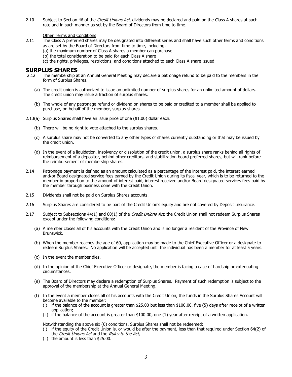- 2.10 Subject to Section 46 of the Credit Unions Act, dividends may be declared and paid on the Class A shares at such rate and in such manner as set by the Board of Directors from time to time.
	- Other Terms and Conditions
- 2.11 The Class A preferred shares may be designated into different series and shall have such other terms and conditions as are set by the Board of Directors from time to time, including;
	- (a) the maximum number of Class A shares a member can purchase
	- (b) the total consideration to be paid for each Class A share
	- (c) the rights, privileges, restrictions, and conditions attached to each Class A share issued

### **SURPLUS SHARES**<br>2.12 The membership a

- The membership at an Annual General Meeting may declare a patronage refund to be paid to the members in the form of Surplus Shares.
	- (a) The credit union is authorized to issue an unlimited number of surplus shares for an unlimited amount of dollars. The credit union may issue a fraction of surplus shares.
	- (b) The whole of any patronage refund or dividend on shares to be paid or credited to a member shall be applied to purchase, on behalf of the member, surplus shares.
- 2.13(a) Surplus Shares shall have an issue price of one (\$1.00) dollar each.
	- (b) There will be no right to vote attached to the surplus shares.
	- (c) A surplus share may not be converted to any other types of shares currently outstanding or that may be issued by the credit union.
	- (d) In the event of a liquidation, insolvency or dissolution of the credit union, a surplus share ranks behind all rights of reimbursement of a depositor, behind other creditors, and stabilization board preferred shares, but will rank before the reimbursement of membership shares.
- 2.14 Patronage payment is defined as an amount calculated as a percentage of the interest paid, the interest earned and/or Board designated service fees earned by the Credit Union during its fiscal year, which is to be returned to the member in proportion to the amount of interest paid, interest received and/or Board designated services fees paid by the member through business done with the Credit Union.
- 2.15 Dividends shall not be paid on Surplus Shares accounts.
- 2.16 Surplus Shares are considered to be part of the Credit Union's equity and are not covered by Deposit Insurance.
- 2.17 Subject to Subsections 44(1) and 60(1) of the Credit Unions Act, the Credit Union shall not redeem Surplus Shares except under the following conditions:
	- (a) A member closes all of his accounts with the Credit Union and is no longer a resident of the Province of New Brunswick.
	- (b) When the member reaches the age of 60, application may be made to the Chief Executive Officer or a designate to redeem Surplus Shares. No application will be accepted until the individual has been a member for at least 5 years.
	- (c) In the event the member dies.
	- (d) In the opinion of the Chief Executive Officer or designate, the member is facing a case of hardship or extenuating circumstances.
	- (e) The Board of Directors may declare a redemption of Surplus Shares. Payment of such redemption is subject to the approval of the membership at the Annual General Meeting.
	- (f) In the event a member closes all of his accounts with the Credit Union, the funds in the Surplus Shares Account will become available to the member:
		- (i) if the balance of the account is greater than  $$25.00$  but less than  $$100.00$ , five (5) days after receipt of a written application;
		- (ii) if the balance of the account is greater than \$100.00, one (1) year after receipt of a written application.

Notwithstanding the above six (6) conditions, Surplus Shares shall not be redeemed:

- (i) if the equity of the Credit Union is, or would be after the payment, less than that required under Section 64(2) of the Credit Unions Act and the Rules to the Act,
- (ii) the amount is less than \$25.00.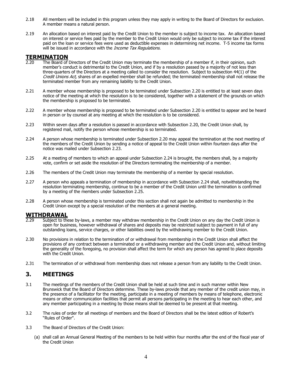- 2.18 All members will be included in this program unless they may apply in writing to the Board of Directors for exclusion. A member means a natural person.
- 2.19 An allocation based on interest paid by the Credit Union to the member is subject to income tax. An allocation based on interest or service fees paid by the member to the Credit Union would only be subject to income tax if the interest paid on the loan or service fees were used as deductible expenses in determining net income. T-5 income tax forms will be issued in accordance with the *Income Tax Regulations*.

# **TERMINATION**<br> **P.20** The Board of

- The Board of Directors of the Credit Union may terminate the membership of a member if, in their opinion, such member's conduct is detrimental to the Credit Union, and if by a resolution passed by a majority of not less than three-quarters of the Directors at a meeting called to consider the resolution. Subject to subsection 44(1) of the Credit Unions Act, shares of an expelled member shall be refunded; the terminated membership shall not release the terminated member from any remaining liability to the Credit Union.
- 2.21 A member whose membership is proposed to be terminated under Subsection 2.20 is entitled to at least seven days notice of the meeting at which the resolution is to be considered, together with a statement of the grounds on which the membership is proposed to be terminated.
- 2.22 A member whose membership is proposed to be terminated under Subsection 2.20 is entitled to appear and be heard in person or by counsel at any meeting at which the resolution is to be considered.
- 2.23 Within seven days after a resolution is passed in accordance with Subsection 2.20, the Credit Union shall, by registered mail, notify the person whose membership is so terminated.
- 2.24 A person whose membership is terminated under Subsection 2.20 may appeal the termination at the next meeting of the members of the Credit Union by sending a notice of appeal to the Credit Union within fourteen days after the notice was mailed under Subsection 2.23.
- 2.25 At a meeting of members to which an appeal under Subsection 2.24 is brought, the members shall, by a majority vote, confirm or set aside the resolution of the Directors terminating the membership of a member.
- 2.26 The members of the Credit Union may terminate the membership of a member by special resolution.
- 2.27 A person who appeals a termination of membership in accordance with Subsection 2.24 shall, notwithstanding the resolution terminating membership, continue to be a member of the Credit Union until the termination is confirmed by a meeting of the members under Subsection 2.25.
- 2.28 A person whose membership is terminated under this section shall not again be admitted to membership in the Credit Union except by a special resolution of the members at a general meeting.

#### **WITHDRAWAL**

- Subject to these by-laws, a member may withdraw membership in the Credit Union on any day the Credit Union is open for business, however withdrawal of shares and deposits may be restricted subject to payment in full of any outstanding loans, service charges, or other liabilities owed by the withdrawing member to the Credit Union.
- 2.30 No provisions in relation to the termination of or withdrawal from membership in the Credit Union shall affect the provisions of any contract between a terminated or a withdrawing member and the Credit Union and, without limiting the generality of the foregoing, no provision shall affect the term for which any person has agreed to place deposits with the Credit Union.
- 2.31 The termination of or withdrawal from membership does not release a person from any liability to the Credit Union.

#### **3. MEETINGS**

- 3.1 The meetings of the members of the Credit Union shall be held at such time and in such manner within New Brunswick that the Board of Directors determine. These by-laws provide that any member of the credit union may, in the presence of a facilitator for the meeting, participate in a meeting of members by means of telephone, electronic means or other communication facilities that permit all persons participating in the meeting to hear each other, and any member participating in a meeting by those means shall be deemed to be present at that meeting.
- 3.2 The rules of order for all meetings of members and the Board of Directors shall be the latest edition of Robert's "Rules of Order".
- 3.3 The Board of Directors of the Credit Union:
	- (a) shall call an Annual General Meeting of the members to be held within four months after the end of the fiscal year of the Credit Union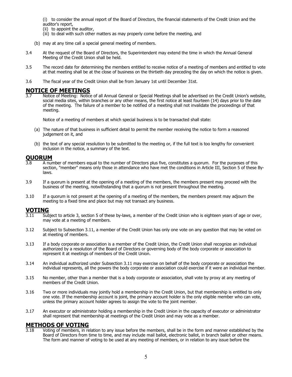(i) to consider the annual report of the Board of Directors, the financial statements of the Credit Union and the auditor's report,

- (ii) to appoint the auditor,
- (iii) to deal with such other matters as may properly come before the meeting, and
- (b) may at any time call a special general meeting of members.
- 3.4 At the request of the Board of Directors, the Superintendent may extend the time in which the Annual General Meeting of the Credit Union shall be held.
- 3.5 The record date for determining the members entitled to receive notice of a meeting of members and entitled to vote at that meeting shall be at the close of business on the thirtieth day preceding the day on which the notice is given.
- 3.6 The fiscal year of the Credit Union shall be from January 1st until December 31st.

### **NOTICE OF MEETINGS**<br>3.7 Motice of Meeting: Notic

Notice of Meeting: Notice of all Annual General or Special Meetings shall be advertised on the Credit Union's website, social media sites, within branches or any other means, the first notice at least fourteen (14) days prior to the date of the meeting. The failure of a member to be notified of a meeting shall not invalidate the proceedings of that meeting.

Notice of a meeting of members at which special business is to be transacted shall state:

- (a) The nature of that business in sufficient detail to permit the member receiving the notice to form a reasoned judgement on it, and
- (b) the text of any special resolution to be submitted to the meeting or, if the full text is too lengthy for convenient inclusion in the notice, a summary of the text.

### **QUORUM**<br>3.8 A nur

- A number of members equal to the number of Directors plus five, constitutes a quorum. For the purposes of this section, "member" means only those in attendance who have met the conditions in Article III, Section 5 of these Bylaws.
- 3.9 If a quorum is present at the opening of a meeting of the members, the members present may proceed with the business of the meeting, notwithstanding that a quorum is not present throughout the meeting.
- 3.10 If a quorum is not present at the opening of a meeting of the members, the members present may adjourn the meeting to a fixed time and place but may not transact any business.

### **VOTING**

- Subject to article 3, section 5 of these by-laws, a member of the Credit Union who is eighteen years of age or over, may vote at a meeting of members.
- 3.12 Subject to Subsection 3.11, a member of the Credit Union has only one vote on any question that may be voted on at meeting of members.
- 3.13 If a body corporate or association is a member of the Credit Union, the Credit Union shall recognize an individual authorized by a resolution of the Board of Directors or governing body of the body corporate or association to represent it at meetings of members of the Credit Union.
- 3.14 An individual authorized under Subsection 3.11 may exercise on behalf of the body corporate or association the individual represents, all the powers the body corporate or association could exercise if it were an individual member.
- 3.15 No member, other than a member that is a body corporate or association, shall vote by proxy at any meeting of members of the Credit Union.
- 3.16 Two or more individuals may jointly hold a membership in the Credit Union, but that membership is entitled to only one vote. If the membership account is joint, the primary account holder is the only eligible member who can vote, unless the primary account holder agrees to assign the vote to the joint member.
- 3.17 An executor or administrator holding a membership in the Credit Union in the capacity of executor or administrator shall represent that membership at meetings of the Credit Union and may vote as a member.

## **METHODS OF VOTING**<br>3.18 Voting of members, in re

Voting of members, in relation to any issue before the members, shall be in the form and manner established by the Board of Directors from time to time, and may include mail ballot, electronic ballot, in branch ballot or other means. The form and manner of voting to be used at any meeting of members, or in relation to any issue before the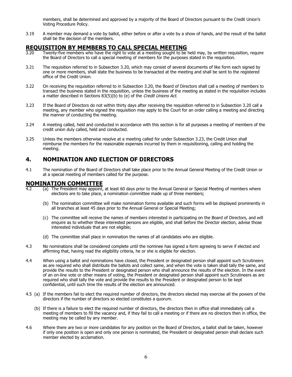members, shall be determined and approved by a majority of the Board of Directors pursuant to the Credit Union's Voting Procedure Policy.

3.19 A member may demand a vote by ballot, either before or after a vote by a show of hands, and the result of the ballot shall be the decision of the members.

### **REQUISITION BY MEMBERS TO CALL SPECIAL MEETING**<br>3.20 Twenty-five members who have the right to vote at a meeting sought to be

- Twenty-five members who have the right to vote at a meeting sought to be held may, by written requisition, require the Board of Directors to call a special meeting of members for the purposes stated in the requisition.
- 3.21 The requisition referred to in Subsection 3.20, which may consist of several documents of like form each signed by one or more members, shall state the business to be transacted at the meeting and shall be sent to the registered office of the Credit Union.
- 3.22 On receiving the requisition referred to in Subsection 3.20, the Board of Directors shall call a meeting of members to transact the business stated in the requisition, unless the business of the meeting as stated in the requisition includes a matter described in Sections 83(5)(b) to (e) of the Credit Unions Act.
- 3.23 If the Board of Directors do not within thirty days after receiving the requisition referred to in Subsection 3.20 call a meeting, any member who signed the requisition may apply to the Court for an order calling a meeting and directing the manner of conducting the meeting.
- 3.24 A meeting called, held and conducted in accordance with this section is for all purposes a meeting of members of the credit union duly called, held and conducted.
- 3.25 Unless the members otherwise resolve at a meeting called for under Subsection 3.23, the Credit Union shall reimburse the members for the reasonable expenses incurred by them in requisitioning, calling and holding the meeting.

#### **4. NOMINATION AND ELECTION OF DIRECTORS**

4.1 The nomination of the Board of Directors shall take place prior to the Annual General Meeting of the Credit Union or at a special meeting of members called for the purpose.

### **NOMINATION COMMITTEE**

- (a) The President may appoint, at least 60 days prior to the Annual General or Special Meeting of members where elections are to take place, a nomination committee made up of three members;
	- (b) The nomination committee will make nomination forms available and such forms will be displayed prominently in all branches at least 45 days prior to the Annual General or Special Meeting;
	- (c) The committee will receive the names of members interested in participating on the Board of Directors, and will enquire as to whether these interested persons are eligible, and shall before the Director election, advise those interested individuals that are not eligible;
	- (d) The committee shall place in nomination the names of all candidates who are eligible.
- 4.3 No nominations shall be considered complete until the nominee has signed a form agreeing to serve if elected and affirming that, having read the eligibility criteria, he or she is eligible for election.
- 4.4 When using a ballot and nominations have closed, the President or designated person shall appoint such Scrutineers as are required who shall distribute the ballots and collect same, and when the vote is taken shall tally the same, and provide the results to the President or designated person who shall announce the results of the election. In the event of an on-line vote or other means of voting, the President or designated person shall appoint such Scrutineers as are required who shall tally the vote and provide the results to the President or designated person to be kept confidential, until such time the results of the election are announced.
- 4.5 (a) If the members fail to elect the required number of directors, the directors elected may exercise all the powers of the directors if the number of directors so elected constitutes a quorum.
	- (b) If there is a failure to elect the required number of directors, the directors then in office shall immediately call a meeting of members to fill the vacancy and, if they fail to call a meeting or if there are no directors then in office, the meeting may be called by any member.
- 4.6 Where there are two or more candidates for any position on the Board of Directors, a ballot shall be taken, however if only one position is open and only one person is nominated, the President or designated person shall declare such member elected by acclamation.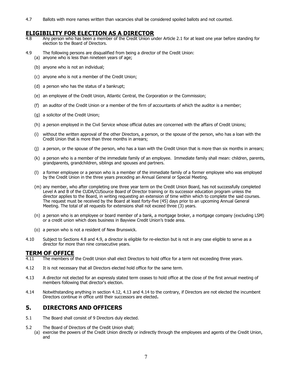4.7 Ballots with more names written than vacancies shall be considered spoiled ballots and not counted.

### **ELIGIBILITY FOR ELECTION AS A DIRECTOR**

- Any person who has been a member of the Credit Union under Article 2.1 for at least one year before standing for election to the Board of Directors.
- 4.9 The following persons are disqualified from being a director of the Credit Union:
	- (a) anyone who is less than nineteen years of age;
		- (b) anyone who is not an individual;
		- (c) anyone who is not a member of the Credit Union;
		- (d) a person who has the status of a bankrupt;
		- (e) an employee of the Credit Union, Atlantic Central, the Corporation or the Commission;
		- (f) an auditor of the Credit Union or a member of the firm of accountants of which the auditor is a member;
		- (g) a solicitor of the Credit Union;
		- (h) a person employed in the Civil Service whose official duties are concerned with the affairs of Credit Unions;
		- (i) without the written approval of the other Directors, a person, or the spouse of the person, who has a loan with the Credit Union that is more than three months in arrears;
		- (j) a person, or the spouse of the person, who has a loan with the Credit Union that is more than six months in arrears;
		- (k) a person who is a member of the immediate family of an employee. Immediate family shall mean: children, parents, grandparents, grandchildren, siblings and spouses and partners.
		- (l) a former employee or a person who is a member of the immediate family of a former employee who was employed by the Credit Union in the three years preceding an Annual General or Special Meeting.
		- (m) any member, who after completing one three year term on the Credit Union Board, has not successfully completed Level A and B of the CUDA/CUSource Board of Director training or its successor education program unless the director applies to the Board, in writing requesting an extension of time within which to complete the said courses. The request must be received by the Board at least forty-five (45) days prior to an upcoming Annual General Meeting. The total of all requests for extensions shall not exceed three (3) years.
		- (n) a person who is an employee or board member of a bank, a mortgage broker, a mortgage company (excluding LSM) or a credit union which does business in Bayview Credit Union's trade area.
		- (o) a person who is not a resident of New Brunswick.
- 4.10 Subject to Sections 4.8 and 4.9, a director is eligible for re-election but is not in any case eligible to serve as a director for more than nine consecutive years.

# **TERM OF OFFICE**<br>4.11 The members of

- The members of the Credit Union shall elect Directors to hold office for a term not exceeding three years.
- 4.12 It is not necessary that all Directors elected hold office for the same term.
- 4.13 A director not elected for an expressly stated term ceases to hold office at the close of the first annual meeting of members following that director's election.
- 4.14 Notwithstanding anything in section 4.12, 4.13 and 4.14 to the contrary, if Directors are not elected the incumbent Directors continue in office until their successors are elected.

#### **5. DIRECTORS AND OFFICERS**

- 5.1 The Board shall consist of 9 Directors duly elected.
- 5.2 The Board of Directors of the Credit Union shall;
	- (a) exercise the powers of the Credit Union directly or indirectly through the employees and agents of the Credit Union, and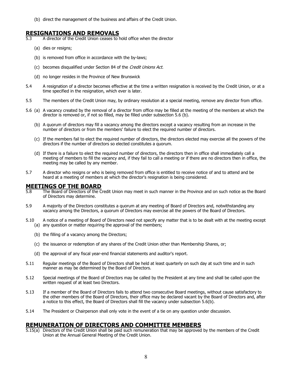(b) direct the management of the business and affairs of the Credit Union.

#### **RESIGNATIONS AND REMOVALS**

- A director of the Credit Union ceases to hold office when the director
	- (a) dies or resigns;
	- (b) is removed from office in accordance with the by-laws;
	- (c) becomes disqualified under Section 84 of the Credit Unions Act.
	- (d) no longer resides in the Province of New Brunswick
- 5.4 A resignation of a director becomes effective at the time a written resignation is received by the Credit Union, or at a time specified in the resignation, which ever is later.
- 5.5 The members of the Credit Union may, by ordinary resolution at a special meeting, remove any director from office.
- 5.6 (a) A vacancy created by the removal of a director from office may be filled at the meeting of the members at which the director is removed or, if not so filled, may be filled under subsection 5.6 (b).
	- (b) A quorum of directors may fill a vacancy among the directors except a vacancy resulting from an increase in the number of directors or from the members' failure to elect the required number of directors.
	- (c) If the members fail to elect the required number of directors, the directors elected may exercise all the powers of the directors if the number of directors so elected constitutes a quorum.
	- (d) If there is a failure to elect the required number of directors, the directors then in office shall immediately call a meeting of members to fill the vacancy and, if they fail to call a meeting or if there are no directors then in office, the meeting may be called by any member.
- 5.7 A director who resigns or who is being removed from office is entitled to receive notice of and to attend and be heard at a meeting of members at which the director's resignation is being considered.

### **MEETINGS OF THE BOARD**<br>5.8 The Board of Directors of the C

- The Board of Directors of the Credit Union may meet in such manner in the Province and on such notice as the Board of Directors may determine.
- 5.9 A majority of the Directors constitutes a quorum at any meeting of Board of Directors and, notwithstanding any vacancy among the Directors, a quorum of Directors may exercise all the powers of the Board of Directors.
- 5.10 A notice of a meeting of Board of Directors need not specify any matter that is to be dealt with at the meeting except (a) any question or matter requiring the approval of the members;
	- (b) the filling of a vacancy among the Directors;
	- (c) the issuance or redemption of any shares of the Credit Union other than Membership Shares, or;
	- (d) the approval of any fiscal year-end financial statements and auditor's report.
- 5.11 Regular meetings of the Board of Directors shall be held at least quarterly on such day at such time and in such manner as may be determined by the Board of Directors.
- 5.12 Special meetings of the Board of Directors may be called by the President at any time and shall be called upon the written request of at least two Directors.
- 5.13 If a member of the Board of Directors fails to attend two consecutive Board meetings, without cause satisfactory to the other members of the Board of Directors, their office may be declared vacant by the Board of Directors and, after a notice to this effect, the Board of Directors shall fill the vacancy under subsection 5.6(b).
- 5.14 The President or Chairperson shall only vote in the event of a tie on any question under discussion.

#### **REMUNERATION OF DIRECTORS AND COMMITTEE MEMBERS**

5.15(a) Directors of the Credit Union shall be paid such remuneration that may be approved by the members of the Credit Union at the Annual General Meeting of the Credit Union.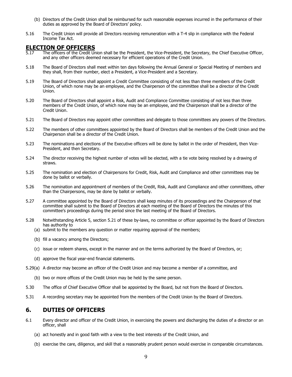- (b) Directors of the Credit Union shall be reimbursed for such reasonable expenses incurred in the performance of their duties as approved by the Board of Directors' policy.
- 5.16 The Credit Union will provide all Directors receiving remuneration with a T-4 slip in compliance with the Federal Income Tax Act.

### **ELECTION OF OFFICERS**<br>5.17 The officers of the Credit Ur

- The officers of the Credit Union shall be the President, the Vice-President, the Secretary, the Chief Executive Officer, and any other officers deemed necessary for efficient operations of the Credit Union.
- 5.18 The Board of Directors shall meet within ten days following the Annual General or Special Meeting of members and they shall, from their number, elect a President, a Vice-President and a Secretary.
- 5.19 The Board of Directors shall appoint a Credit Committee consisting of not less than three members of the Credit Union, of which none may be an employee, and the Chairperson of the committee shall be a director of the Credit Union.
- 5.20 The Board of Directors shall appoint a Risk, Audit and Compliance Committee consisting of not less than three members of the Credit Union, of which none may be an employee, and the Chairperson shall be a director of the Credit Union.
- 5.21 The Board of Directors may appoint other committees and delegate to those committees any powers of the Directors.
- 5.22 The members of other committees appointed by the Board of Directors shall be members of the Credit Union and the Chairperson shall be a director of the Credit Union.
- 5.23 The nominations and elections of the Executive officers will be done by ballot in the order of President, then Vice-President, and then Secretary.
- 5.24 The director receiving the highest number of votes will be elected, with a tie vote being resolved by a drawing of straws.
- 5.25 The nomination and election of Chairpersons for Credit, Risk, Audit and Compliance and other committees may be done by ballot or verbally.
- 5.26 The nomination and appointment of members of the Credit, Risk, Audit and Compliance and other committees, other than the Chairpersons, may be done by ballot or verbally.
- 5.27 A committee appointed by the Board of Directors shall keep minutes of its proceedings and the Chairperson of that committee shall submit to the Board of Directors at each meeting of the Board of Directors the minutes of this committee's proceedings during the period since the last meeting of the Board of Directors.
- 5.28 Notwithstanding Article 5, section 5.21 of these by-laws, no committee or officer appointed by the Board of Directors has authority to
	- (a) submit to the members any question or matter requiring approval of the members;
	- (b) fill a vacancy among the Directors;
	- (c) issue or redeem shares, except in the manner and on the terms authorized by the Board of Directors, or;
	- (d) approve the fiscal year-end financial statements.
- 5.29(a) A director may become an officer of the Credit Union and may become a member of a committee, and
	- (b) two or more offices of the Credit Union may be held by the same person.
- 5.30 The office of Chief Executive Officer shall be appointed by the Board, but not from the Board of Directors.
- 5.31 A recording secretary may be appointed from the members of the Credit Union by the Board of Directors.

#### **6. DUTIES OF OFFICERS**

- 6.1 Every director and officer of the Credit Union, in exercising the powers and discharging the duties of a director or an officer, shall
	- (a) act honestly and in good faith with a view to the best interests of the Credit Union, and
	- (b) exercise the care, diligence, and skill that a reasonably prudent person would exercise in comparable circumstances.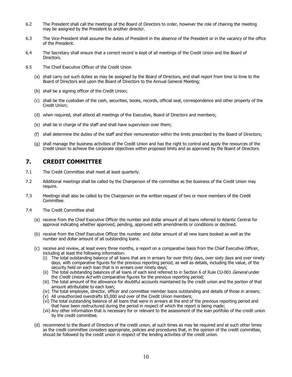- 6.2 The President shall call the meetings of the Board of Directors to order, however the role of chairing the meeting may be assigned by the President to another director.
- 6.3 The Vice-President shall assume the duties of President in the absence of the President or in the vacancy of the office of the President.
- 6.4 The Secretary shall ensure that a correct record is kept of all meetings of the Credit Union and the Board of Directors.
- 6.5 The Chief Executive Officer of the Credit Union
	- (a) shall carry out such duties as may be assigned by the Board of Directors, and shall report from time to time to the Board of Directors and upon the Board of Directors to the Annual General Meeting;
	- (b) shall be a signing officer of the Credit Union;
	- (c) shall be the custodian of the cash, securities, books, records, official seal, correspondence and other property of the Credit Union;
	- (d) when required, shall attend all meetings of the Executive, Board of Directors and members;
	- (e) shall be in charge of the staff and shall have supervision over them;
	- (f) shall determine the duties of the staff and their remuneration within the limits prescribed by the Board of Directors;
	- (g) shall manage the business activities of the Credit Union and has the right to control and apply the resources of the Credit Union to achieve the corporate objectives within proposed limits and as approved by the Board of Directors.

#### **7. CREDIT COMMITTEE**

- 7.1 The Credit Committee shall meet at least quarterly.
- 7.2 Additional meetings shall be called by the Chairperson of the committee as the business of the Credit Union may require.
- 7.3 Meetings shall also be called by the Chairperson on the written request of two or more members of the Credit Committee.
- 7.4 The Credit Committee shall
	- (a) receive from the Chief Executive Officer the number and dollar amount of all loans referred to Atlantic Central for approval indicating whether approved, pending, approved with amendments or conditions or declined.
	- (b) receive from the Chief Executive Officer the number and dollar amount of all new loans booked as well as the number and dollar amount of all outstanding loans.
	- (c) receive and review, at least every three months, a report on a comparative basis from the Chief Executive Officer, including at least the following information:
		- (i) The total outstanding balance of all loans that are in arrears for over thirty days, over sixty days and over ninety days, with comparative figures for the previous reporting period, as well as details, including the value, of the security held on each loan that is in arrears over ninety days;
		- (ii) The total outstanding balances of all loans of each kind referred to in Section 6 of Rule CU-001 General under the Credit Unions Act with comparative figures for the previous reporting period;
		- (iii) The total amount of the allowance for doubtful accounts maintained by the credit union and the portion of that amount attributable to each loan;
		- (iv) The total employee, director, officer and committee member loans outstanding and details of those in arrears;
		- $(v)$  All unauthorized overdrafts \$5,000 and over of the Credit Union members;
		- (vi) The total outstanding balance of all loans that were in arrears at the end of the previous reporting period and that have been restructured during the period in respect of which the report is being made;
		- (vii) Any other information that is necessary for or relevant to the assessment of the loan portfolio of the credit union by the credit committee.
	- (d) recommend to the Board of Directors of the credit union, at such times as may be required and at such other times as the credit committee considers appropriate, policies and procedures that, in the opinion of the credit committee, should be followed by the credit union in respect of the lending activities of the credit union.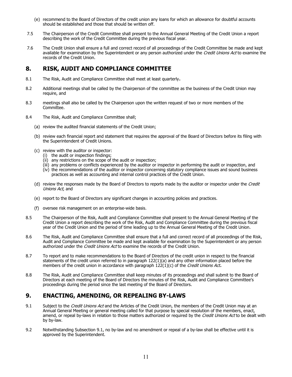- (e) recommend to the Board of Directors of the credit union any loans for which an allowance for doubtful accounts should be established and those that should be written off.
- 7.5 The Chairperson of the Credit Committee shall present to the Annual General Meeting of the Credit Union a report describing the work of the Credit Committee during the previous fiscal year.
- 7.6 The Credit Union shall ensure a full and correct record of all proceedings of the Credit Committee be made and kept available for examination by the Superintendent or any person authorized under the Credit Unions Act to examine the records of the Credit Union.

#### **8. RISK, AUDIT AND COMPLIANCE COMMITTEE**

- 8.1 The Risk, Audit and Compliance Committee shall meet at least quarterly.
- 8.2 Additional meetings shall be called by the Chairperson of the committee as the business of the Credit Union may require, and
- 8.3 meetings shall also be called by the Chairperson upon the written request of two or more members of the Committee.
- 8.4 The Risk, Audit and Compliance Committee shall;
	- (a) review the audited financial statements of the Credit Union;
	- (b) review each financial report and statement that requires the approval of the Board of Directors before its filing with the Superintendent of Credit Unions.
	- (c) review with the auditor or inspector:
		- (i) the audit or inspection findings;
		- (ii) any restrictions on the scope of the audit or inspection;
		- (iii) any problems or conflicts experienced by the auditor or inspector in performing the audit or inspection, and
		- (iv) the recommendations of the auditor or inspector concerning statutory compliance issues and sound business practices as well as accounting and internal control practices of the Credit Union.
	- (d) review the responses made by the Board of Directors to reports made by the auditor or inspector under the Credit Unions Act, and
	- (e) report to the Board of Directors any significant changes in accounting policies and practices.
	- (f) oversee risk management on an enterprise-wide basis.
- 8.5 The Chairperson of the Risk, Audit and Compliance Committee shall present to the Annual General Meeting of the Credit Union a report describing the work of the Risk, Audit and Compliance Committee during the previous fiscal year of the Credit Union and the period of time leading up to the Annual General Meeting of the Credit Union.
- 8.6 The Risk, Audit and Compliance Committee shall ensure that a full and correct record of all proceedings of the Risk, Audit and Compliance Committee be made and kept available for examination by the Superintendent or any person authorized under the *Credit Unions Act* to examine the records of the Credit Union.
- 8.7 To report and to make recommendations to the Board of Directors of the credit union in respect to the financial statements of the credit union referred to in paragraph 122(1)(a) and any other information placed before the members of the credit union in accordance with paragraph  $122(1)(c)$  of the *Credit Unions Act.*
- 8.8 The Risk, Audit and Compliance Committee shall keep minutes of its proceedings and shall submit to the Board of Directors at each meeting of the Board of Directors the minutes of the Risk, Audit and Compliance Committee's proceedings during the period since the last meeting of the Board of Directors.

### **9. ENACTING, AMENDING, OR REPEALING BY-LAWS**

- 9.1 Subject to the Credit Unions Act and the Articles of the Credit Union, the members of the Credit Union may at an Annual General Meeting or general meeting called for that purpose by special resolution of the members, enact, amend, or repeal by-laws in relation to those matters authorized or required by the Credit Unions Act to be dealt with by by-law.
- 9.2 Notwithstanding Subsection 9.1, no by-law and no amendment or repeal of a by-law shall be effective until it is approved by the Superintendent.